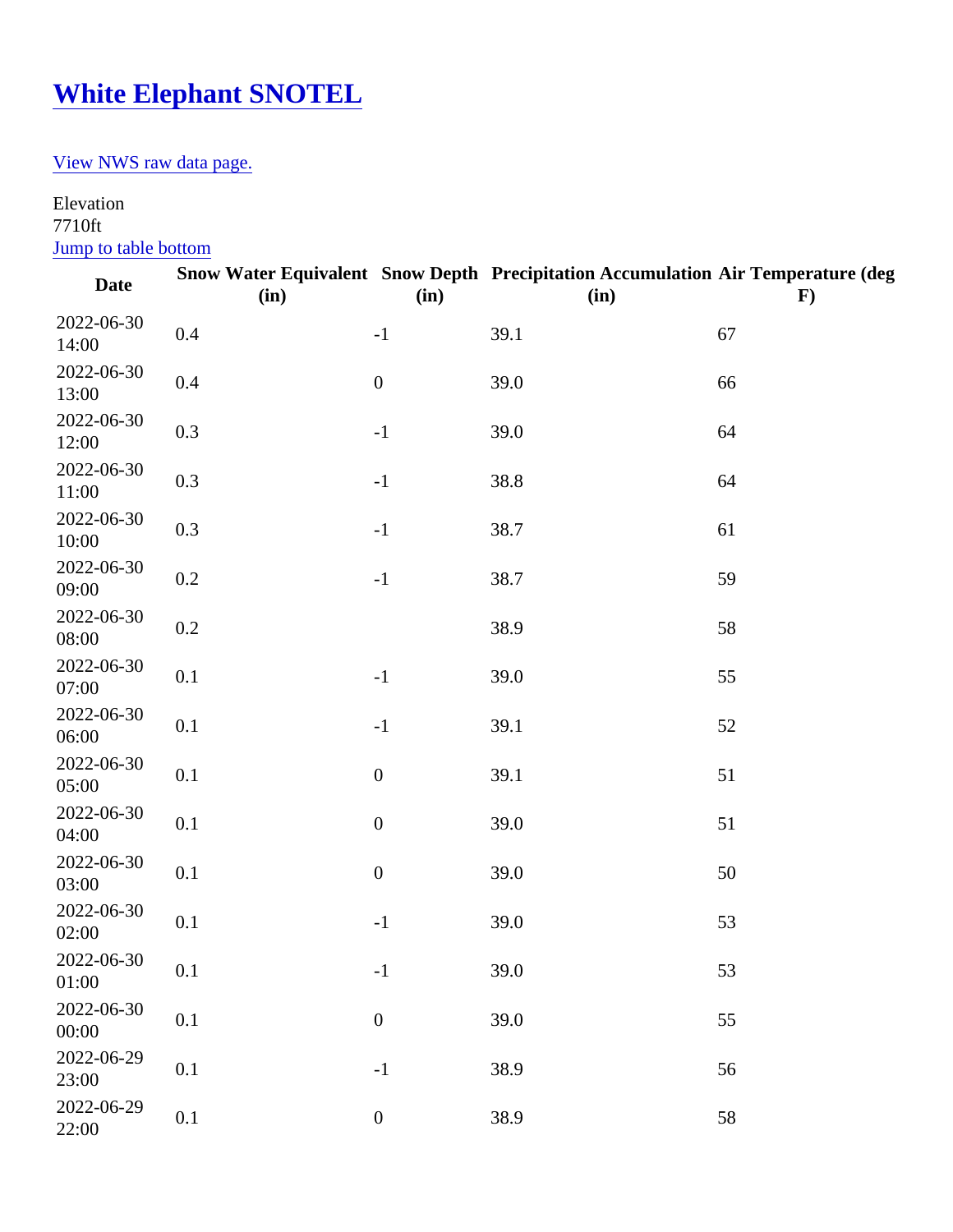## [White Elephant SNOTEL](https://www.mtavalanche.com/weather/stations/white-elephant)

## [View NWS raw data pag](https://www.wrh.noaa.gov/mesowest/timeseries.php?sid=WHEI1&num=72&banner=gmap&raw=0&w=325)e.

## Elevation 7710ft

Jump to table bottom

| Date                | (in) | (in)             | Snow Water Equivalent Snow Depth Precipitation Accumulation Air Temperature (deg<br>(in) | F) |
|---------------------|------|------------------|------------------------------------------------------------------------------------------|----|
| 2022-06-30<br>14:00 | 0.4  | $-1$             | 39.1                                                                                     | 67 |
| 2022-06-30<br>13:00 | 0.4  | $\pmb{0}$        | 39.0                                                                                     | 66 |
| 2022-06-30<br>12:00 | 0.3  | $-1$             | 39.0                                                                                     | 64 |
| 2022-06-30<br>11:00 | 0.3  | $-1$             | 38.8                                                                                     | 64 |
| 2022-06-30<br>10:00 | 0.3  | $-1$             | 38.7                                                                                     | 61 |
| 2022-06-30<br>09:00 | 0.2  | $-1$             | 38.7                                                                                     | 59 |
| 2022-06-30<br>08:00 | 0.2  |                  | 38.9                                                                                     | 58 |
| 2022-06-30<br>07:00 | 0.1  | $-1$             | 39.0                                                                                     | 55 |
| 2022-06-30<br>06:00 | 0.1  | $-1$             | 39.1                                                                                     | 52 |
| 2022-06-30<br>05:00 | 0.1  | $\mathbf 0$      | 39.1                                                                                     | 51 |
| 2022-06-30<br>04:00 | 0.1  | $\pmb{0}$        | 39.0                                                                                     | 51 |
| 2022-06-30<br>03:00 | 0.1  | $\pmb{0}$        | 39.0                                                                                     | 50 |
| 2022-06-30<br>02:00 | 0.1  | $-1$             | 39.0                                                                                     | 53 |
| 2022-06-30<br>01:00 | 0.1  | $-1$             | 39.0                                                                                     | 53 |
| 2022-06-30<br>00:00 | 0.1  | $\boldsymbol{0}$ | 39.0                                                                                     | 55 |
| 2022-06-29<br>23:00 | 0.1  | $-1$             | 38.9                                                                                     | 56 |
| 2022-06-29<br>22:00 | 0.1  | $\pmb{0}$        | 38.9                                                                                     | 58 |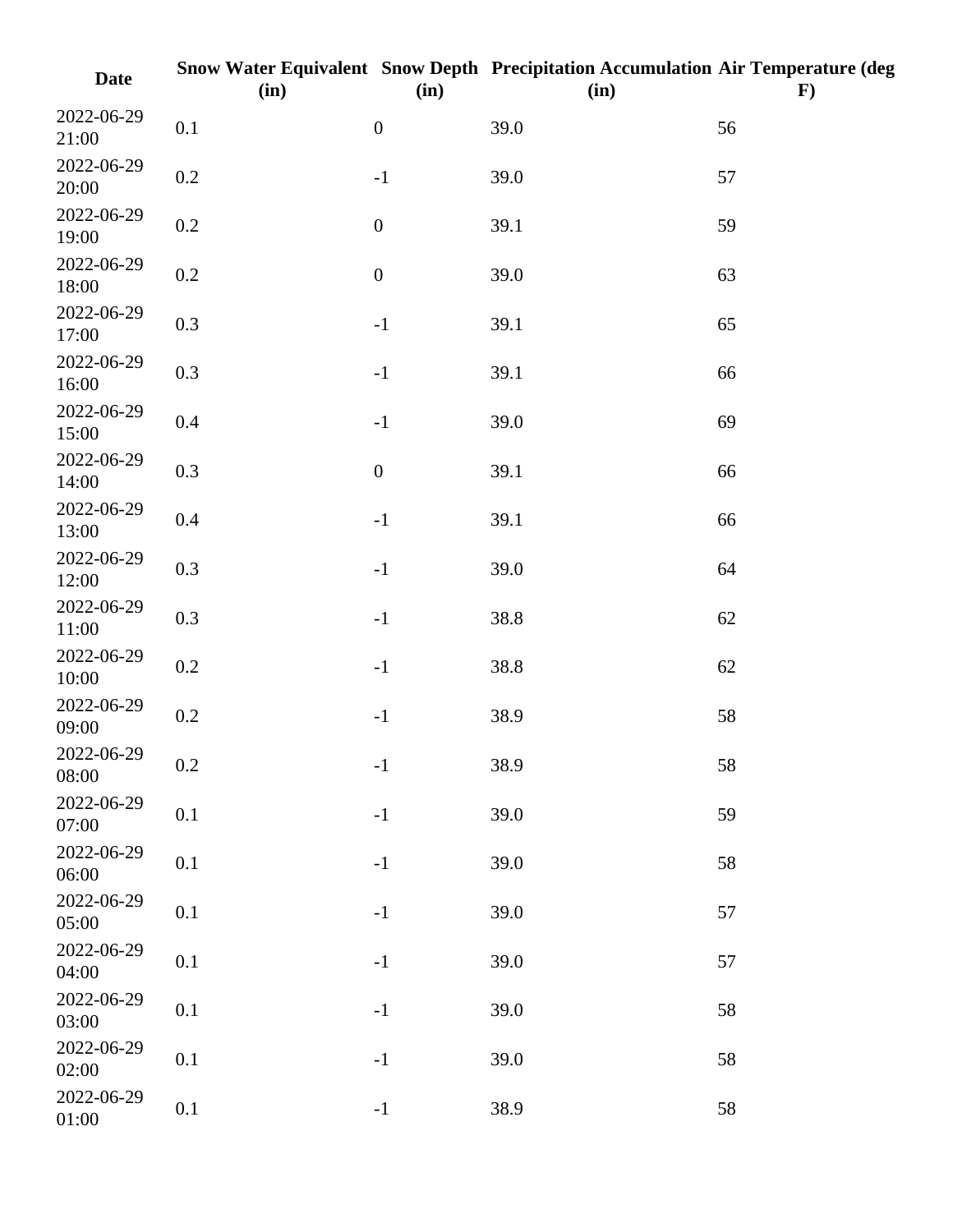| <b>Date</b>         | (in)    | (in)             | Snow Water Equivalent Snow Depth Precipitation Accumulation Air Temperature (deg<br>(in) | $\mathbf{F}$ |
|---------------------|---------|------------------|------------------------------------------------------------------------------------------|--------------|
| 2022-06-29<br>21:00 | 0.1     | $\boldsymbol{0}$ | 39.0                                                                                     | 56           |
| 2022-06-29<br>20:00 | $0.2\,$ | $-1$             | 39.0                                                                                     | 57           |
| 2022-06-29<br>19:00 | 0.2     | $\boldsymbol{0}$ | 39.1                                                                                     | 59           |
| 2022-06-29<br>18:00 | $0.2\,$ | $\boldsymbol{0}$ | 39.0                                                                                     | 63           |
| 2022-06-29<br>17:00 | 0.3     | $-1$             | 39.1                                                                                     | 65           |
| 2022-06-29<br>16:00 | 0.3     | $^{\rm -1}$      | 39.1                                                                                     | 66           |
| 2022-06-29<br>15:00 | $0.4\,$ | $-1$             | 39.0                                                                                     | 69           |
| 2022-06-29<br>14:00 | 0.3     | $\boldsymbol{0}$ | 39.1                                                                                     | 66           |
| 2022-06-29<br>13:00 | $0.4\,$ | $-1$             | 39.1                                                                                     | 66           |
| 2022-06-29<br>12:00 | 0.3     | $-1$             | 39.0                                                                                     | 64           |
| 2022-06-29<br>11:00 | 0.3     | $^{\rm -1}$      | 38.8                                                                                     | 62           |
| 2022-06-29<br>10:00 | $0.2\,$ | $-1$             | 38.8                                                                                     | 62           |
| 2022-06-29<br>09:00 | 0.2     | $-1$             | 38.9                                                                                     | 58           |
| 2022-06-29<br>08:00 | $0.2\,$ | $-1$             | 38.9                                                                                     | 58           |
| 2022-06-29<br>07:00 | 0.1     | $-1$             | 39.0                                                                                     | 59           |
| 2022-06-29<br>06:00 | 0.1     | $-1$             | 39.0                                                                                     | 58           |
| 2022-06-29<br>05:00 | 0.1     | $-1$             | 39.0                                                                                     | 57           |
| 2022-06-29<br>04:00 | 0.1     | $-1$             | 39.0                                                                                     | 57           |
| 2022-06-29<br>03:00 | 0.1     | $-1$             | 39.0                                                                                     | 58           |
| 2022-06-29<br>02:00 | 0.1     | $-1$             | 39.0                                                                                     | 58           |
| 2022-06-29<br>01:00 | 0.1     | $-1$             | 38.9                                                                                     | 58           |